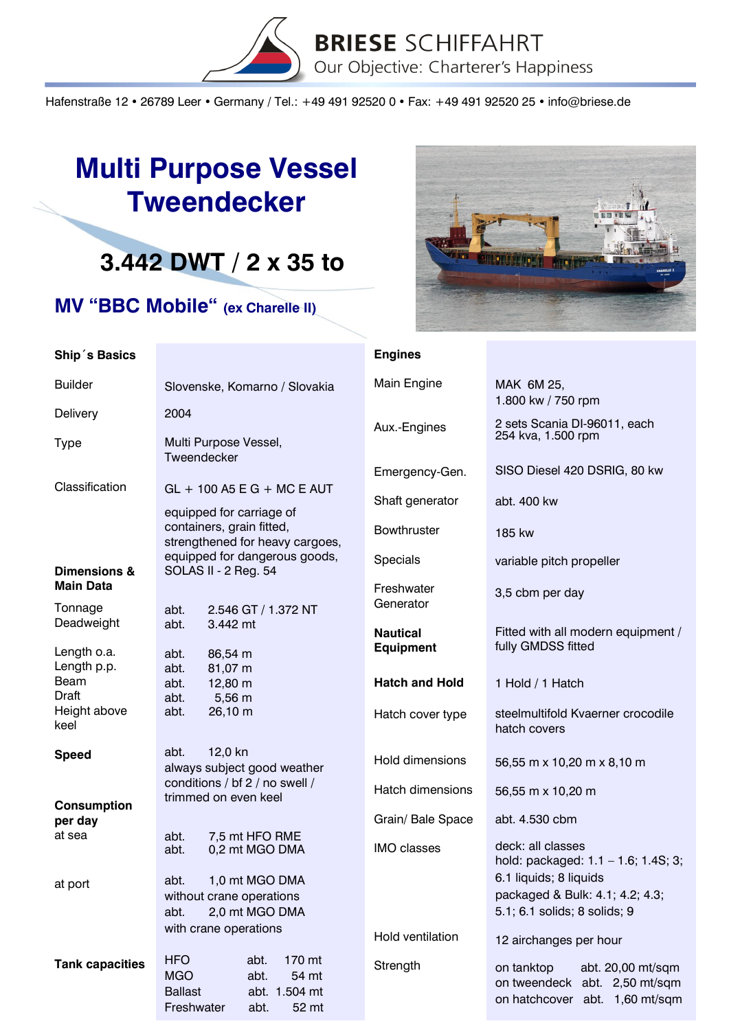

Hafenstraße 12 · 26789 Leer · Germany / Tel.: +49 491 92520 0 · Fax: +49 491 92520 25 · info@briese.de

## **Multi Purpose Vessel Tweendecker**

## **3.442 DWT / 2 x 35 to**

## **MV "BBC Mobile" (ex Charelle II)**



| Ship's Basics                             |                                                                                                                               | <b>Engines</b>                      |                                                                                                    |
|-------------------------------------------|-------------------------------------------------------------------------------------------------------------------------------|-------------------------------------|----------------------------------------------------------------------------------------------------|
| <b>Builder</b>                            | Slovenske, Komarno / Slovakia                                                                                                 | Main Engine                         | MAK 6M 25,                                                                                         |
| Delivery                                  | 2004                                                                                                                          |                                     | 1.800 kw / 750 rpm                                                                                 |
| <b>Type</b>                               | Multi Purpose Vessel,<br>Tweendecker                                                                                          | Aux.-Engines                        | 2 sets Scania DI-96011, each<br>254 kva, 1.500 rpm                                                 |
|                                           |                                                                                                                               | Emergency-Gen.                      | SISO Diesel 420 DSRIG, 80 kw                                                                       |
| Classification                            | $GL + 100$ A5 E G + MC E AUT<br>equipped for carriage of                                                                      | Shaft generator                     | abt. 400 kw                                                                                        |
|                                           | containers, grain fitted,<br>strengthened for heavy cargoes,                                                                  | Bowthruster                         | 185 kw                                                                                             |
| <b>Dimensions &amp;</b>                   | equipped for dangerous goods,<br>SOLAS II - 2 Reg. 54                                                                         | <b>Specials</b>                     | variable pitch propeller                                                                           |
| <b>Main Data</b><br>Tonnage               | 2.546 GT / 1.372 NT<br>abt.                                                                                                   | Freshwater<br>Generator             | 3,5 cbm per day                                                                                    |
| Deadweight                                | abt.<br>3.442 mt                                                                                                              | <b>Nautical</b><br><b>Equipment</b> | Fitted with all modern equipment /<br>fully GMDSS fitted                                           |
| Length o.a.<br>Length p.p.<br><b>Beam</b> | abt.<br>86,54 m<br>abt.<br>81,07 m<br>abt.<br>12,80 m                                                                         | <b>Hatch and Hold</b>               | 1 Hold / 1 Hatch                                                                                   |
| Draft<br>Height above<br>keel             | 5,56 m<br>abt.<br>26,10 m<br>abt.                                                                                             | Hatch cover type                    | steelmultifold Kvaerner crocodile<br>hatch covers                                                  |
| <b>Speed</b>                              | 12,0 kn<br>abt.<br>always subject good weather                                                                                | Hold dimensions                     | 56,55 m x 10,20 m x 8,10 m                                                                         |
|                                           | conditions / bf 2 / no swell /<br>trimmed on even keel                                                                        | Hatch dimensions                    | 56,55 m x 10,20 m                                                                                  |
| <b>Consumption</b><br>per day             |                                                                                                                               | Grain/ Bale Space                   | abt. 4.530 cbm                                                                                     |
| at sea                                    | 7,5 mt HFO RME<br>abt.<br>0,2 mt MGO DMA<br>abt.                                                                              | <b>IMO</b> classes                  | deck: all classes<br>hold: packaged: 1.1 - 1.6; 1.4S; 3;                                           |
| at port                                   | 1,0 mt MGO DMA<br>abt.<br>without crane operations<br>2,0 mt MGO DMA<br>abt.                                                  |                                     | 6.1 liquids; 8 liquids<br>packaged & Bulk: 4.1; 4.2; 4.3;<br>5.1; 6.1 solids; 8 solids; 9          |
|                                           | with crane operations                                                                                                         | Hold ventilation                    | 12 airchanges per hour                                                                             |
| <b>Tank capacities</b>                    | <b>HFO</b><br>abt.<br>170 mt<br><b>MGO</b><br>abt.<br>54 mt<br><b>Ballast</b><br>abt. 1.504 mt<br>Freshwater<br>abt.<br>52 mt | Strength                            | on tanktop<br>abt. 20,00 mt/sqm<br>on tweendeck abt. 2,50 mt/sqm<br>on hatchcover abt. 1,60 mt/sqm |